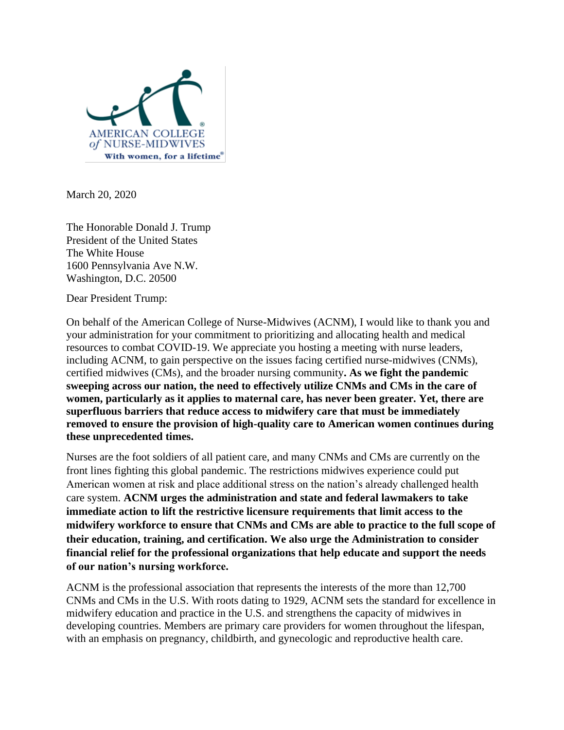

March 20, 2020

The Honorable Donald J. Trump President of the United States The White House 1600 Pennsylvania Ave N.W. Washington, D.C. 20500

Dear President Trump:

On behalf of the American College of Nurse-Midwives (ACNM), I would like to thank you and your administration for your commitment to prioritizing and allocating health and medical resources to combat COVID-19. We appreciate you hosting a meeting with nurse leaders, including ACNM, to gain perspective on the issues facing certified nurse-midwives (CNMs), certified midwives (CMs), and the broader nursing community**. As we fight the pandemic sweeping across our nation, the need to effectively utilize CNMs and CMs in the care of women, particularly as it applies to maternal care, has never been greater. Yet, there are superfluous barriers that reduce access to midwifery care that must be immediately removed to ensure the provision of high-quality care to American women continues during these unprecedented times.**

Nurses are the foot soldiers of all patient care, and many CNMs and CMs are currently on the front lines fighting this global pandemic. The restrictions midwives experience could put American women at risk and place additional stress on the nation's already challenged health care system. **ACNM urges the administration and state and federal lawmakers to take immediate action to lift the restrictive licensure requirements that limit access to the midwifery workforce to ensure that CNMs and CMs are able to practice to the full scope of their education, training, and certification. We also urge the Administration to consider financial relief for the professional organizations that help educate and support the needs of our nation's nursing workforce.**

ACNM is the professional association that represents the interests of the more than 12,700 CNMs and CMs in the U.S. With roots dating to 1929, ACNM sets the standard for excellence in midwifery education and practice in the U.S. and strengthens the capacity of midwives in developing countries. Members are primary care providers for women throughout the lifespan, with an emphasis on pregnancy, childbirth, and gynecologic and reproductive health care.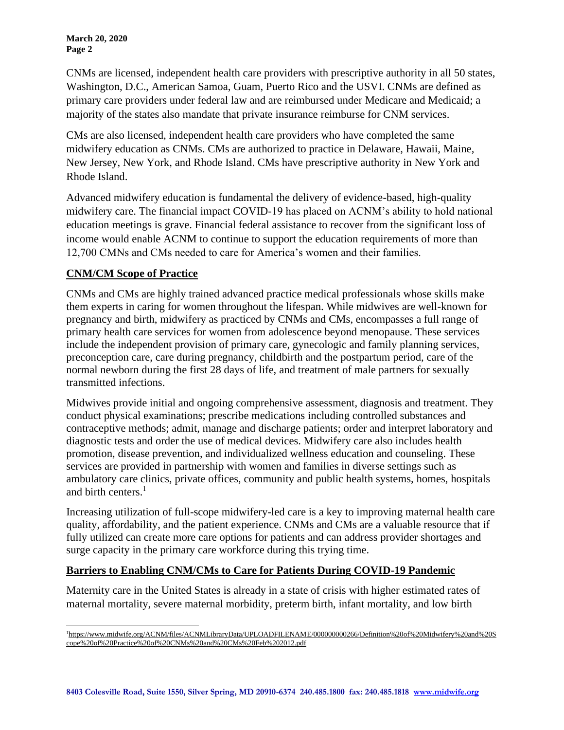**March 20, 2020 Page 2**

CNMs are licensed, independent health care providers with prescriptive authority in all 50 states, Washington, D.C., American Samoa, Guam, Puerto Rico and the USVI. CNMs are defined as primary care providers under federal law and are reimbursed under Medicare and Medicaid; a majority of the states also mandate that private insurance reimburse for CNM services.

CMs are also licensed, independent health care providers who have completed the same midwifery education as CNMs. CMs are authorized to practice in Delaware, Hawaii, Maine, New Jersey, New York, and Rhode Island. CMs have prescriptive authority in New York and Rhode Island.

Advanced midwifery education is fundamental the delivery of evidence-based, high-quality midwifery care. The financial impact COVID-19 has placed on ACNM's ability to hold national education meetings is grave. Financial federal assistance to recover from the significant loss of income would enable ACNM to continue to support the education requirements of more than 12,700 CMNs and CMs needed to care for America's women and their families.

## **CNM/CM Scope of Practice**

CNMs and CMs are highly trained advanced practice medical professionals whose skills make them experts in caring for women throughout the lifespan. While midwives are well-known for pregnancy and birth, midwifery as practiced by CNMs and CMs, encompasses a full range of primary health care services for women from adolescence beyond menopause. These services include the independent provision of primary care, gynecologic and family planning services, preconception care, care during pregnancy, childbirth and the postpartum period, care of the normal newborn during the first 28 days of life, and treatment of male partners for sexually transmitted infections.

Midwives provide initial and ongoing comprehensive assessment, diagnosis and treatment. They conduct physical examinations; prescribe medications including controlled substances and contraceptive methods; admit, manage and discharge patients; order and interpret laboratory and diagnostic tests and order the use of medical devices. Midwifery care also includes health promotion, disease prevention, and individualized wellness education and counseling. These services are provided in partnership with women and families in diverse settings such as ambulatory care clinics, private offices, community and public health systems, homes, hospitals and birth centers.<sup>1</sup>

Increasing utilization of full-scope midwifery-led care is a key to improving maternal health care quality, affordability, and the patient experience. CNMs and CMs are a valuable resource that if fully utilized can create more care options for patients and can address provider shortages and surge capacity in the primary care workforce during this trying time.

## **Barriers to Enabling CNM/CMs to Care for Patients During COVID-19 Pandemic**

Maternity care in the United States is already in a state of crisis with higher estimated rates of maternal mortality, severe maternal morbidity, preterm birth, infant mortality, and low birth

<sup>&</sup>lt;sup>1</sup>https://www.midwife.org/ACNM/files/ACNMLibraryData/UPLOADFILENAME/00000000266/Definition%20of%20Midwifery%20and%20S [cope%20of%20Practice%20of%20CNMs%20and%20CMs%20Feb%202012.pdf](https://www.midwife.org/ACNM/files/ACNMLibraryData/UPLOADFILENAME/000000000266/Definition%20of%20Midwifery%20and%20Scope%20of%20Practice%20of%20CNMs%20and%20CMs%20Feb%202012.pdf)